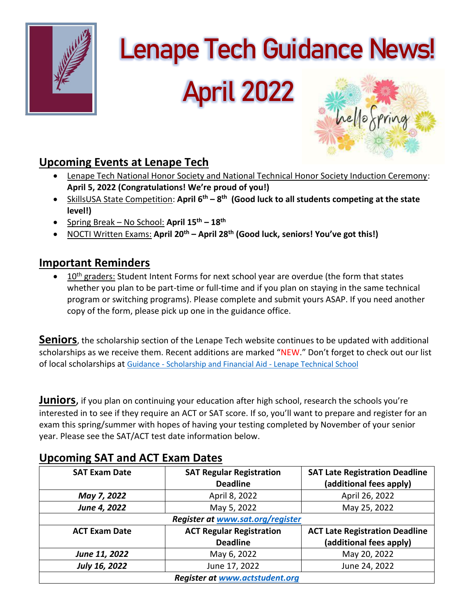

# **Lenape Tech Guidance News!**

# **April 2022**



# **Upcoming Events at Lenape Tech**

- Lenape Tech National Honor Society and National Technical Honor Society Induction Ceremony: **April 5, 2022 (Congratulations! We're proud of you!)**
- SkillsUSA State Competition: **April 6th – 8 th (Good luck to all students competing at the state level!)**
- Spring Break No School: **April 15th – 18th**
- NOCTI Written Exams: **April 20th – April 28th (Good luck, seniors! You've got this!)**

## **Important Reminders**

• 10<sup>th</sup> graders: Student Intent Forms for next school year are overdue (the form that states whether you plan to be part-time or full-time and if you plan on staying in the same technical program or switching programs). Please complete and submit yours ASAP. If you need another copy of the form, please pick up one in the guidance office.

**Seniors**, the scholarship section of the Lenape Tech website continues to be updated with additional scholarships as we receive them. Recent additions are marked "NEW." Don't forget to check out our list of local scholarships at Guidance - [Scholarship and Financial Aid -](http://www.lenape.k12.pa.us/4/Content2/guidscholar) Lenape Technical School

**Juniors**, if you plan on continuing your education after high school, research the schools you're interested in to see if they require an ACT or SAT score. If so, you'll want to prepare and register for an exam this spring/summer with hopes of having your testing completed by November of your senior year. Please see the SAT/ACT test date information below.

| <b>SAT Exam Date</b>                  | <b>SAT Regular Registration</b><br><b>Deadline</b> | <b>SAT Late Registration Deadline</b><br>(additional fees apply) |
|---------------------------------------|----------------------------------------------------|------------------------------------------------------------------|
| May 7, 2022                           | April 8, 2022                                      | April 26, 2022                                                   |
| June 4, 2022                          | May 5, 2022                                        | May 25, 2022                                                     |
| Register at www.sat.org/register      |                                                    |                                                                  |
| <b>ACT Exam Date</b>                  | <b>ACT Regular Registration</b>                    | <b>ACT Late Registration Deadline</b>                            |
|                                       | <b>Deadline</b>                                    | (additional fees apply)                                          |
| June 11, 2022                         | May 6, 2022                                        | May 20, 2022                                                     |
| July 16, 2022                         | June 17, 2022                                      | June 24, 2022                                                    |
| <b>Register at www.actstudent.org</b> |                                                    |                                                                  |

# **Upcoming SAT and ACT Exam Dates**